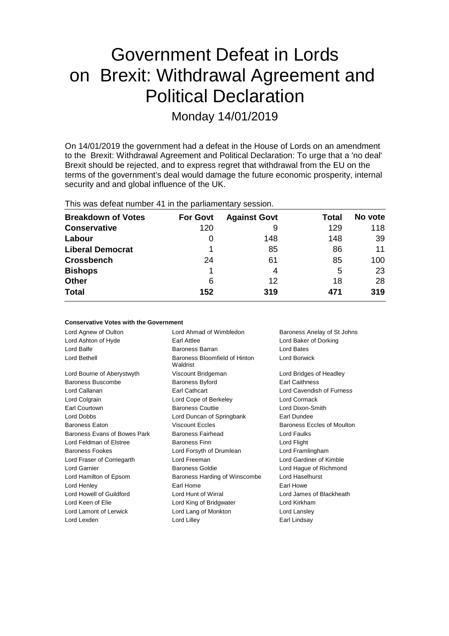## Government Defeat in Lords on Brexit: Withdrawal Agreement and Political Declaration

Monday 14/01/2019

On 14/01/2019 the government had a defeat in the House of Lords on an amendment to the Brexit: Withdrawal Agreement and Political Declaration: To urge that a 'no deal' Brexit should be rejected, and to express regret that withdrawal from the EU on the terms of the government's deal would damage the future economic prosperity, internal security and and global influence of the UK.

| This was defeat number 41 in the parliamentary session. |  |  |  |
|---------------------------------------------------------|--|--|--|
|---------------------------------------------------------|--|--|--|

| <b>Breakdown of Votes</b> | <b>For Govt</b> | <b>Against Govt</b> | Total | No vote |
|---------------------------|-----------------|---------------------|-------|---------|
| <b>Conservative</b>       | 120             | 9                   | 129   | 118     |
| Labour                    | 0               | 148                 | 148   | 39      |
| <b>Liberal Democrat</b>   |                 | 85                  | 86    | 11      |
| <b>Crossbench</b>         | 24              | 61                  | 85    | 100     |
| <b>Bishops</b>            | 1               | 4                   | 5     | 23      |
| Other                     | 6               | 12                  | 18    | 28      |
| <b>Total</b>              | 152             | 319                 | 471   | 319     |

| <b>Conservative Votes with the Government</b> |
|-----------------------------------------------|
|-----------------------------------------------|

| Lord Agnew of Oulton         | Lord Ahmad of Wimbledon                   | Baroness Anelay of St Johns |
|------------------------------|-------------------------------------------|-----------------------------|
| Lord Ashton of Hyde          | Earl Attlee                               | Lord Baker of Dorking       |
| Lord Balfe                   | <b>Baroness Barran</b>                    | Lord Bates                  |
| Lord Bethell                 | Baroness Bloomfield of Hinton<br>Waldrist | Lord Borwick                |
| Lord Bourne of Aberystwyth   | Viscount Bridgeman                        | Lord Bridges of Headley     |
| Baroness Buscombe            | <b>Baroness Byford</b>                    | <b>Earl Caithness</b>       |
| Lord Callanan                | Earl Cathcart                             | Lord Cavendish of Furness   |
| Lord Colgrain                | Lord Cope of Berkeley                     | Lord Cormack                |
| Earl Courtown                | <b>Baroness Couttie</b>                   | Lord Dixon-Smith            |
| Lord Dobbs                   | Lord Duncan of Springbank                 | Earl Dundee                 |
| <b>Baroness Eaton</b>        | <b>Viscount Eccles</b>                    | Baroness Eccles of Moulton  |
| Baroness Evans of Bowes Park | Baroness Fairhead                         | Lord Faulks                 |
| Lord Feldman of Elstree      | <b>Baroness Finn</b>                      | Lord Flight                 |
| Baroness Fookes              | Lord Forsyth of Drumlean                  | Lord Framlingham            |
| Lord Fraser of Corriegarth   | Lord Freeman                              | Lord Gardiner of Kimble     |
| Lord Garnier                 | Baroness Goldie                           | Lord Hague of Richmond      |
| Lord Hamilton of Epsom       | Baroness Harding of Winscombe             | Lord Haselhurst             |
| Lord Henley                  | Earl Home                                 | Earl Howe                   |
| Lord Howell of Guildford     | Lord Hunt of Wirral                       | Lord James of Blackheath    |
| Lord Keen of Elie            | Lord King of Bridgwater                   | Lord Kirkham                |
| Lord Lamont of Lerwick       | Lord Lang of Monkton                      | Lord Lansley                |
| Lord Lexden                  | Lord Lilley                               | Earl Lindsay                |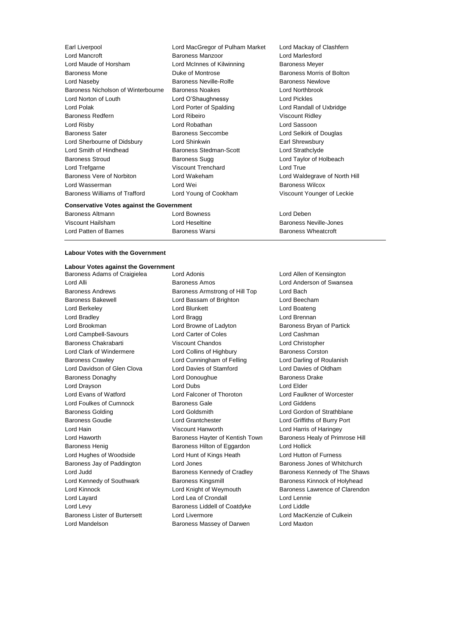| Earl Liverpool                                   | Lord MacGregor of Pulham Market | Lord Mackay of Clashfern      |
|--------------------------------------------------|---------------------------------|-------------------------------|
| Lord Mancroft                                    | Baroness Manzoor                | Lord Marlesford               |
| Lord Maude of Horsham                            | Lord McInnes of Kilwinning      | <b>Baroness Meyer</b>         |
| <b>Baroness Mone</b>                             | Duke of Montrose                | Baroness Morris of Bolton     |
| Lord Naseby                                      | Baroness Neville-Rolfe          | <b>Baroness Newlove</b>       |
| Baroness Nicholson of Winterbourne               | <b>Baroness Noakes</b>          | Lord Northbrook               |
| Lord Norton of Louth                             | Lord O'Shaughnessy              | <b>Lord Pickles</b>           |
| Lord Polak                                       | Lord Porter of Spalding         | Lord Randall of Uxbridge      |
| <b>Baroness Redfern</b>                          | Lord Ribeiro                    | <b>Viscount Ridley</b>        |
| Lord Risby                                       | Lord Robathan                   | Lord Sassoon                  |
| <b>Baroness Sater</b>                            | <b>Baroness Seccombe</b>        | Lord Selkirk of Douglas       |
| Lord Sherbourne of Didsbury                      | Lord Shinkwin                   | Earl Shrewsbury               |
| Lord Smith of Hindhead                           | Baroness Stedman-Scott          | Lord Strathclyde              |
| <b>Baroness Stroud</b>                           | Baroness Sugg                   | Lord Taylor of Holbeach       |
| Lord Trefgarne                                   | <b>Viscount Trenchard</b>       | Lord True                     |
| Baroness Vere of Norbiton                        | Lord Wakeham                    | Lord Waldegrave of North Hill |
| Lord Wasserman                                   | Lord Wei                        | <b>Baroness Wilcox</b>        |
| Baroness Williams of Trafford                    | Lord Young of Cookham           | Viscount Younger of Leckie    |
| <b>Conservative Votes against the Government</b> |                                 |                               |
| Baroness Altmann                                 | Lord Bowness                    | Lord Deben                    |
| Viscount Hailsham                                | Lord Heseltine                  | <b>Baroness Neville-Jones</b> |

Lord Patten of Barnes Baroness Warsi Baroness Wheatcroft

#### **Labour Votes with the Government**

## **Labour Votes against the Government**

Lord Alli Baroness Amos Lord Anderson of Swansea Baroness Andrews Baroness Armstrong of Hill Top Lord Bach Baroness Bakewell Lord Bassam of Brighton Lord Beecham Lord Berkeley **Lord Blunkett** Lord Boateng Lord Boateng Lord Bradley **Lord Bragg Lord Bragg Lord Brennan** Lord Brookman **Lord Browne of Ladyton** Baroness Bryan of Partick Lord Campbell-Savours Lord Carter of Coles Lord Cashman Baroness Chakrabarti Viscount Chandos Lord Christopher Lord Clark of Windermere **Lord Collins of Highbury** Baroness Corston Baroness Crawley Lord Cunningham of Felling Lord Darling of Roulanish Lord Davidson of Glen Clova Lord Davies of Stamford Lord Davies of Oldham Baroness Donaghy Lord Donoughue Baroness Drake Lord Drayson Lord Dubs Lord Elder Lord Evans of Watford Lord Falconer of Thoroton Lord Faulkner of Worcester Lord Foulkes of Cumnock Baroness Gale Lord Giddens Baroness Golding Lord Goldsmith Lord Gordon of Strathblane Baroness Goudie Lord Grantchester Lord Griffiths of Burry Port Lord Hain **National Community Community** Viscount Hanworth **Lord Harris of Haringey** Lord Haworth **Baroness Hayter of Kentish Town** Baroness Healy of Primrose Hill Baroness Henig **Baroness Hilton of Eggardon** Lord Hollick Lord Hughes of Woodside Lord Hunt of Kings Heath Lord Hutton of Furness Baroness Jay of Paddington Lord Jones Baroness Jones of Whitchurch Lord Judd **Baroness Kennedy of Cradley** Baroness Kennedy of The Shaws Lord Kennedy of Southwark **Baroness Kingsmill** Baroness Kinnock of Holyhead Lord Kinnock **Lord Knight of Weymouth** Baroness Lawrence of Clarendon Lord Layard Lord Lea of Crondall Lord Lennie Lord Levy Baroness Liddell of Coatdyke Lord Liddle Baroness Lister of Burtersett Lord Livermore Lord Lord MacKenzie of Culkein Lord Mandelson **Baroness Massey of Darwen** Lord Maxton

Baroness Adams of Craigielea Lord Adonis Lord Annual Lord Allen of Kensington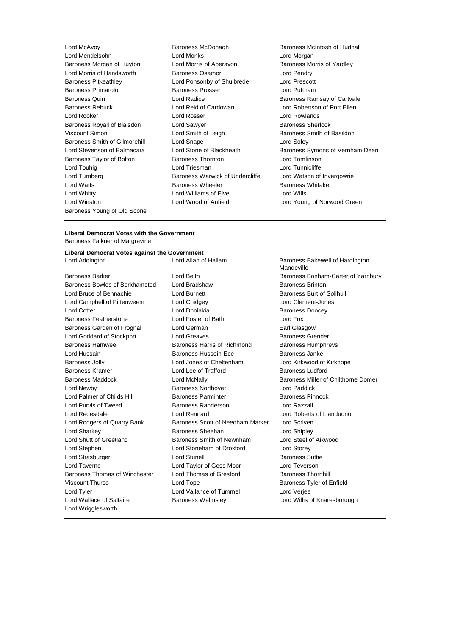Lord McAvoy Baroness McDonagh Baroness McIntosh of Hudnall Lord Mendelsohn Lord Monks Lord Morgan Baroness Morgan of Huyton Lord Morris of Aberavon Baroness Morris of Yardley Lord Morris of Handsworth **Baroness Osamor** Baroness Osamor Lord Pendry Baroness Pitkeathley Lord Ponsonby of Shulbrede Lord Prescott Baroness Primarolo **Baroness Prosser Baroness Prosser** Lord Puttnam Baroness Quin **Baroness** Quin **Lord Radice Baroness Ramsay of Cartvale** Baroness Rebuck Lord Reid of Cardowan Lord Robertson of Port Ellen Lord Rooker Lord Rosser Lord Rowlands Baroness Royall of Blaisdon Lord Sawyer **Baroness Sherlock** Baroness Sherlock Viscount Simon **Lord Smith of Leigh** Baroness Smith of Basildon Baroness Smith of Gilmorehill Lord Snape Lord Soley Baroness Taylor of Bolton Baroness Thornton Lord Tomlinson Lord Touhig **Lord Triesman** Lord Triesman **Lord Tunnicliffe** Lord Turnberg **Baroness Warwick of Undercliffe** Lord Watson of Invergowrie Lord Watts **Baroness Wheeler** Baroness Wheeler **Baroness Whitaker** Lord Whitty Lord Williams of Elvel Lord Wills Lord Winston Lord Wood of Anfield Lord Young of Norwood Green Baroness Young of Old Scone

Lord Stevenson of Balmacara Lord Stone of Blackheath Baroness Symons of Vernham Dean

#### **Liberal Democrat Votes with the Government** Baroness Falkner of Margravine

#### **Liberal Democrat Votes against the Government**

Baroness Bowles of Berkhamsted Lord Bradshaw Baroness Brinton Lord Bruce of Bennachie **Lord Burnett** Lord Burnett **Baroness Burt of Solihull** Lord Campbell of Pittenweem Lord Chidgey Lord Clement-Jones Lord Cotter Lord Dholakia Baroness Doocey Baroness Featherstone Lord Foster of Bath Lord Fox Baroness Garden of Frognal Lord German **Earl Glasgow** Earl Glasgow Lord Goddard of Stockport Lord Greaves **Baroness Grender** Baroness Hamwee Baroness Harris of Richmond Baroness Humphreys Lord Hussain Baroness Hussein-Ece Baroness Janke Baroness Jolly Lord Jones of Cheltenham Lord Kirkwood of Kirkhope Baroness Kramer **Lord Lee of Trafford** Baroness Ludford **Baroness** Ludford Baroness Maddock Lord McNally Baroness Miller of Chilthorne Domer Lord Newby Baroness Northover Lord Paddick Lord Palmer of Childs Hill **Baroness Parminter** Baroness Parminter Baroness Pinnock Lord Purvis of Tweed Baroness Randerson Lord Razzall Lord Redesdale Lord Rennard Lord Roberts of Llandudno Lord Rodgers of Quarry Bank Baroness Scott of Needham Market Lord Scriven Lord Sharkey Baroness Sheehan Lord Shipley Lord Shutt of Greetland Baroness Smith of Newnham Lord Steel of Aikwood Lord Stephen Lord Stoneham of Droxford Lord Storey Lord Strasburger **Lord Stunell** Lord Stunell **Baroness** Suttie Lord Taverne Lord Taylor of Goss Moor Lord Teverson Baroness Thomas of Winchester Lord Thomas of Gresford Baroness Thornhill Viscount Thurso **Communist Contract Contract Contract Contract Contract Contract Contract Contract Contract Contract Contract Contract Contract Contract Contract Contract Contract Contract Contract Contract Contract Contra** Lord Tyler Lord Vallance of Tummel Lord Verjee Lord Wallace of Saltaire **Baroness Walmsley Communist Conduct And My** Lord Willis of Knaresborough Lord Wrigglesworth

Lord Addington Lord Allan of Hallam Baroness Bakewell of Hardington Mandeville Baroness Barker Lord Beith Baroness Bonham-Carter of Yarnbury